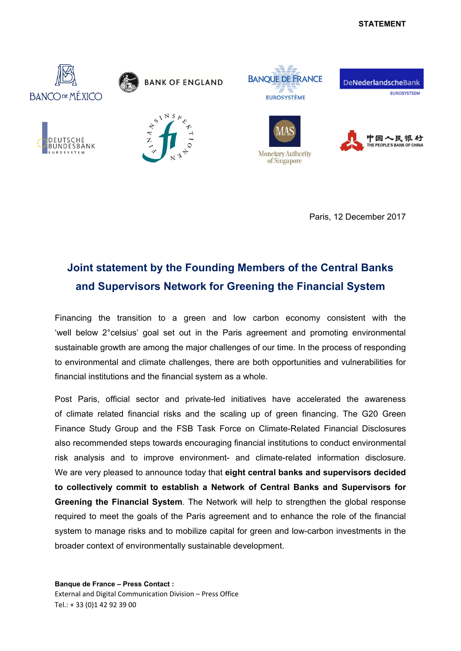## **STATEMENT**



Paris, 12 December 2017

## **Joint statement by the Founding Members of the Central Banks and Supervisors Network for Greening the Financial System**

Financing the transition to a green and low carbon economy consistent with the 'well below 2°celsius' goal set out in the Paris agreement and promoting environmental sustainable growth are among the major challenges of our time. In the process of responding to environmental and climate challenges, there are both opportunities and vulnerabilities for financial institutions and the financial system as a whole.

Post Paris, official sector and private-led initiatives have accelerated the awareness of climate related financial risks and the scaling up of green financing. The G20 Green Finance Study Group and the FSB Task Force on Climate-Related Financial Disclosures also recommended steps towards encouraging financial institutions to conduct environmental risk analysis and to improve environment- and climate-related information disclosure. We are very pleased to announce today that **eight central banks and supervisors decided to collectively commit to establish a Network of Central Banks and Supervisors for Greening the Financial System**. The Network will help to strengthen the global response required to meet the goals of the Paris agreement and to enhance the role of the financial system to manage risks and to mobilize capital for green and low-carbon investments in the broader context of environmentally sustainable development.

**Banque de France – Press Contact :**  External and Digital Communication Division – Press Office Tel.: + 33 (0)1 42 92 39 00